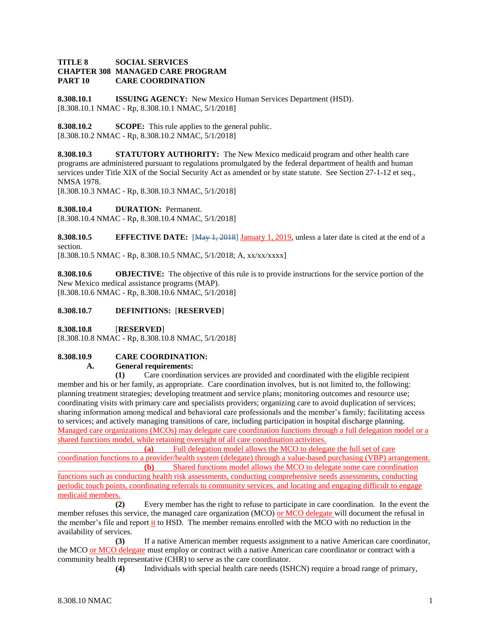### **TITLE 8 SOCIAL SERVICES CHAPTER 308 MANAGED CARE PROGRAM PART 10 CARE COORDINATION**

**8.308.10.1 ISSUING AGENCY:** New Mexico Human Services Department (HSD). [8.308.10.1 NMAC - Rp, 8.308.10.1 NMAC, 5/1/2018]

**8.308.10.2 SCOPE:** This rule applies to the general public. [8.308.10.2 NMAC - Rp, 8.308.10.2 NMAC, 5/1/2018]

**8.308.10.3 STATUTORY AUTHORITY:** The New Mexico medicaid program and other health care programs are administered pursuant to regulations promulgated by the federal department of health and human services under Title XIX of the Social Security Act as amended or by state statute. See Section 27-1-12 et seq., NMSA 1978.

[8.308.10.3 NMAC - Rp, 8.308.10.3 NMAC, 5/1/2018]

**8.308.10.4 DURATION:** Permanent.

[8.308.10.4 NMAC - Rp, 8.308.10.4 NMAC, 5/1/2018]

**8.308.10.5 EFFECTIVE DATE:** [May 1, 2018] January 1, 2019, unless a later date is cited at the end of a section.

[8.308.10.5 NMAC - Rp, 8.308.10.5 NMAC, 5/1/2018; A, xx/xx/xxxx]

**8.308.10.6 OBJECTIVE:** The objective of this rule is to provide instructions for the service portion of the New Mexico medical assistance programs (MAP). [8.308.10.6 NMAC - Rp, 8.308.10.6 NMAC, 5/1/2018]

**8.308.10.7 DEFINITIONS:** [**RESERVED**]

**8.308.10.8** [**RESERVED**] [8.308.10.8 NMAC - Rp, 8.308.10.8 NMAC, 5/1/2018]

## **8.308.10.9 CARE COORDINATION:**

**A. General requirements:**

**(1)** Care coordination services are provided and coordinated with the eligible recipient member and his or her family, as appropriate. Care coordination involves, but is not limited to, the following: planning treatment strategies; developing treatment and service plans; monitoring outcomes and resource use; coordinating visits with primary care and specialists providers; organizing care to avoid duplication of services; sharing information among medical and behavioral care professionals and the member's family; facilitating access to services; and actively managing transitions of care, including participation in hospital discharge planning. Managed care organizations (MCOs) may delegate care coordination functions through a full delegation model or a shared functions model, while retaining oversight of all care coordination activities.

**(a)** Full delegation model allows the MCO to delegate the full set of care coordination functions to a provider/health system (delegate) through a value-based purchasing (VBP) arrangement. **(b)** Shared functions model allows the MCO to delegate some care coordination

functions such as conducting health risk assessments, conducting comprehensive needs assessments, conducting periodic touch points, coordinating referrals to community services, and locating and engaging difficult to engage medicaid members.

**(2)** Every member has the right to refuse to participate in care coordination. In the event the member refuses this service, the managed care organization (MCO) or MCO delegate will document the refusal in the member's file and report it to HSD. The member remains enrolled with the MCO with no reduction in the availability of services.

**(3)** If a native American member requests assignment to a native American care coordinator, the MCO or MCO delegate must employ or contract with a native American care coordinator or contract with a community health representative (CHR) to serve as the care coordinator.

**(4)** Individuals with special health care needs (ISHCN) require a broad range of primary,